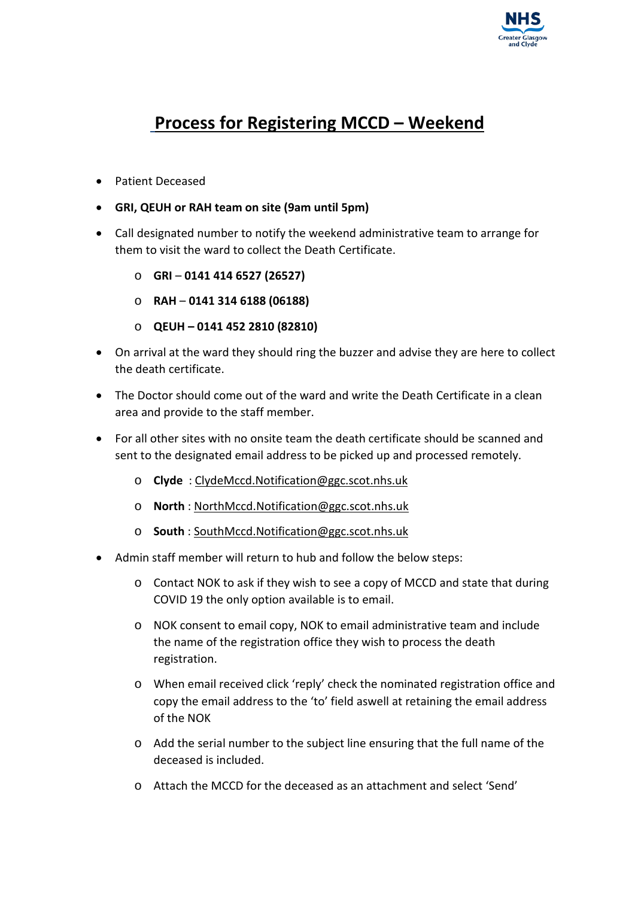

#### **Process for Registering MCCD – Weekend**

- Patient Deceased
- **GRI, QEUH or RAH team on site (9am until 5pm)**
- Call designated number to notify the weekend administrative team to arrange for them to visit the ward to collect the Death Certificate.
	- o **GRI 0141 414 6527 (26527)**
	- o **RAH 0141 314 6188 (06188)**
	- o **QEUH – 0141 452 2810 (82810)**
- On arrival at the ward they should ring the buzzer and advise they are here to collect the death certificate.
- The Doctor should come out of the ward and write the Death Certificate in a clean area and provide to the staff member.
- For all other sites with no onsite team the death certificate should be scanned and sent to the designated email address to be picked up and processed remotely.
	- o **Clyde** : [ClydeMccd.Notification@ggc.scot.nhs.uk](mailto:ClydeMccd.Notification@ggc.scot.nhs.uk)
	- o **North** : [NorthMccd.Notification@ggc.scot.nhs.uk](mailto:NorthMccd.Notification@ggc.scot.nhs.uk)
	- o **South** : [SouthMccd.Notification@ggc.scot.nhs.uk](mailto:SouthMccd.Notification@ggc.scot.nhs.uk)
- Admin staff member will return to hub and follow the below steps:
	- o Contact NOK to ask if they wish to see a copy of MCCD and state that during COVID 19 the only option available is to email.
	- o NOK consent to email copy, NOK to email administrative team and include the name of the registration office they wish to process the death registration.
	- o When email received click 'reply' check the nominated registration office and copy the email address to the 'to' field aswell at retaining the email address of the NOK
	- o Add the serial number to the subject line ensuring that the full name of the deceased is included.
	- o Attach the MCCD for the deceased as an attachment and select 'Send'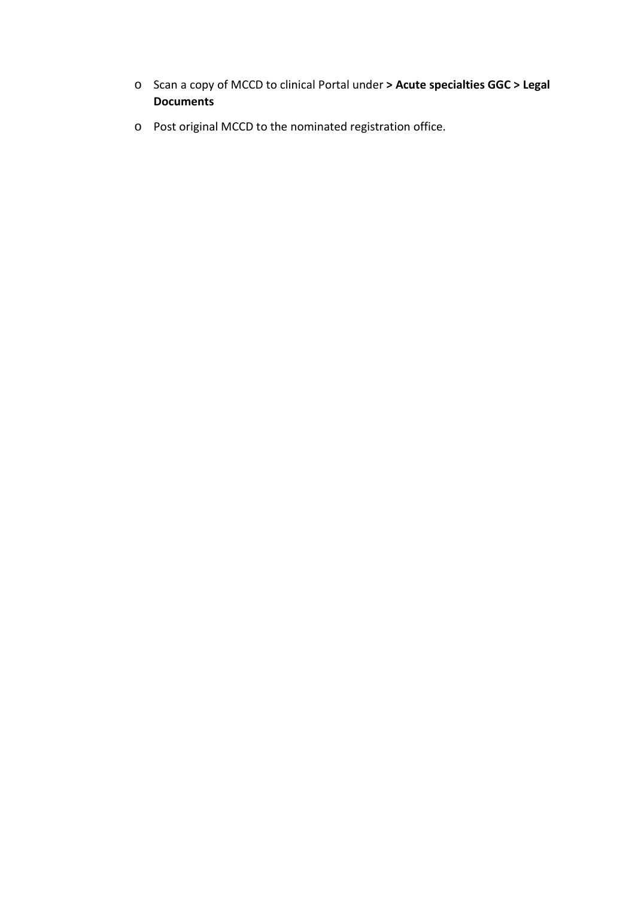- o Scan a copy of MCCD to clinical Portal under **> Acute specialties GGC > Legal Documents**
- o Post original MCCD to the nominated registration office.